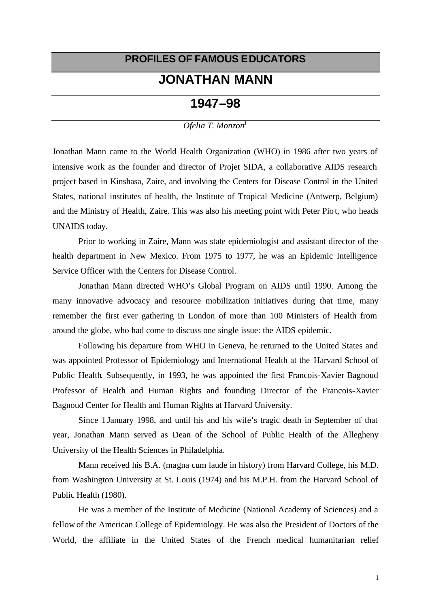## **PROFILES OF FAMOUS EDUCATORS**

# **JONATHAN MANN**

## **1947–98**

### *Ofelia T. Monzon<sup>1</sup>*

Jonathan Mann came to the World Health Organization (WHO) in 1986 after two years of intensive work as the founder and director of Projet SIDA, a collaborative AIDS research project based in Kinshasa, Zaire, and involving the Centers for Disease Control in the United States, national institutes of health, the Institute of Tropical Medicine (Antwerp, Belgium) and the Ministry of Health, Zaire. This was also his meeting point with Peter Piot, who heads UNAIDS today.

Prior to working in Zaire, Mann was state epidemiologist and assistant director of the health department in New Mexico. From 1975 to 1977, he was an Epidemic Intelligence Service Officer with the Centers for Disease Control.

Jonathan Mann directed WHO's Global Program on AIDS until 1990. Among the many innovative advocacy and resource mobilization initiatives during that time, many remember the first ever gathering in London of more than 100 Ministers of Health from around the globe, who had come to discuss one single issue: the AIDS epidemic.

Following his departure from WHO in Geneva, he returned to the United States and was appointed Professor of Epidemiology and International Health at the Harvard School of Public Health. Subsequently, in 1993, he was appointed the first Francois-Xavier Bagnoud Professor of Health and Human Rights and founding Director of the Francois-Xavier Bagnoud Center for Health and Human Rights at Harvard University.

Since 1 January 1998, and until his and his wife's tragic death in September of that year, Jonathan Mann served as Dean of the School of Public Health of the Allegheny University of the Health Sciences in Philadelphia.

Mann received his B.A. (magna cum laude in history) from Harvard College, his M.D. from Washington University at St. Louis (1974) and his M.P.H. from the Harvard School of Public Health (1980).

He was a member of the Institute of Medicine (National Academy of Sciences) and a fellow of the American College of Epidemiology. He was also the President of Doctors of the World, the affiliate in the United States of the French medical humanitarian relief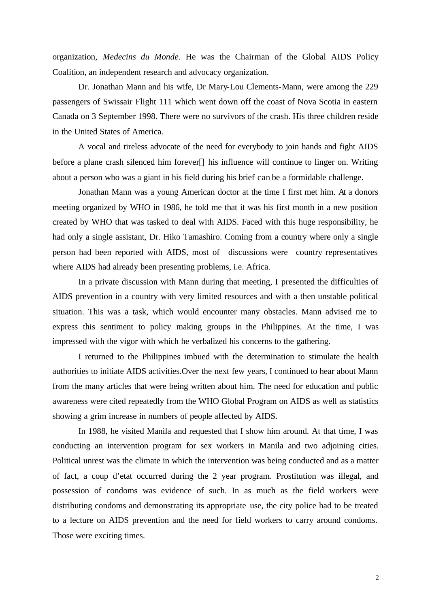organization, *Medecins du Monde*. He was the Chairman of the Global AIDS Policy Coalition, an independent research and advocacy organization.

Dr. Jonathan Mann and his wife, Dr Mary-Lou Clements-Mann, were among the 229 passengers of Swissair Flight 111 which went down off the coast of Nova Scotia in eastern Canada on 3 September 1998. There were no survivors of the crash. His three children reside in the United States of America.

A vocal and tireless advocate of the need for everybody to join hands and fight AIDS before a plane crash silenced him forever—his influence will continue to linger on. Writing about a person who was a giant in his field during his brief can be a formidable challenge.

Jonathan Mann was a young American doctor at the time I first met him. At a donors meeting organized by WHO in 1986, he told me that it was his first month in a new position created by WHO that was tasked to deal with AIDS. Faced with this huge responsibility, he had only a single assistant, Dr. Hiko Tamashiro. Coming from a country where only a single person had been reported with AIDS, most of discussions were country representatives where AIDS had already been presenting problems, i.e. Africa.

In a private discussion with Mann during that meeting, I presented the difficulties of AIDS prevention in a country with very limited resources and with a then unstable political situation. This was a task, which would encounter many obstacles. Mann advised me to express this sentiment to policy making groups in the Philippines. At the time, I was impressed with the vigor with which he verbalized his concerns to the gathering.

I returned to the Philippines imbued with the determination to stimulate the health authorities to initiate AIDS activities.Over the next few years, I continued to hear about Mann from the many articles that were being written about him. The need for education and public awareness were cited repeatedly from the WHO Global Program on AIDS as well as statistics showing a grim increase in numbers of people affected by AIDS.

In 1988, he visited Manila and requested that I show him around. At that time, I was conducting an intervention program for sex workers in Manila and two adjoining cities. Political unrest was the climate in which the intervention was being conducted and as a matter of fact, a coup d'etat occurred during the 2 year program. Prostitution was illegal, and possession of condoms was evidence of such. In as much as the field workers were distributing condoms and demonstrating its appropriate use, the city police had to be treated to a lecture on AIDS prevention and the need for field workers to carry around condoms. Those were exciting times.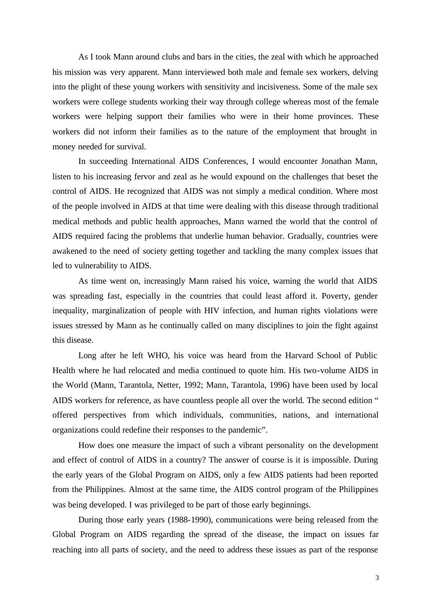As I took Mann around clubs and bars in the cities, the zeal with which he approached his mission was very apparent. Mann interviewed both male and female sex workers, delving into the plight of these young workers with sensitivity and incisiveness. Some of the male sex workers were college students working their way through college whereas most of the female workers were helping support their families who were in their home provinces. These workers did not inform their families as to the nature of the employment that brought in money needed for survival.

In succeeding International AIDS Conferences, I would encounter Jonathan Mann, listen to his increasing fervor and zeal as he would expound on the challenges that beset the control of AIDS. He recognized that AIDS was not simply a medical condition. Where most of the people involved in AIDS at that time were dealing with this disease through traditional medical methods and public health approaches, Mann warned the world that the control of AIDS required facing the problems that underlie human behavior. Gradually, countries were awakened to the need of society getting together and tackling the many complex issues that led to vulnerability to AIDS.

As time went on, increasingly Mann raised his voice, warning the world that AIDS was spreading fast, especially in the countries that could least afford it. Poverty, gender inequality, marginalization of people with HIV infection, and human rights violations were issues stressed by Mann as he continually called on many disciplines to join the fight against this disease.

Long after he left WHO, his voice was heard from the Harvard School of Public Health where he had relocated and media continued to quote him. His two-volume AIDS in the World (Mann, Tarantola, Netter, 1992; Mann, Tarantola, 1996) have been used by local AIDS workers for reference, as have countless people all over the world. The second edition " offered perspectives from which individuals, communities, nations, and international organizations could redefine their responses to the pandemic".

How does one measure the impact of such a vibrant personality on the development and effect of control of AIDS in a country? The answer of course is it is impossible. During the early years of the Global Program on AIDS, only a few AIDS patients had been reported from the Philippines. Almost at the same time, the AIDS control program of the Philippines was being developed. I was privileged to be part of those early beginnings.

During those early years (1988-1990), communications were being released from the Global Program on AIDS regarding the spread of the disease, the impact on issues far reaching into all parts of society, and the need to address these issues as part of the response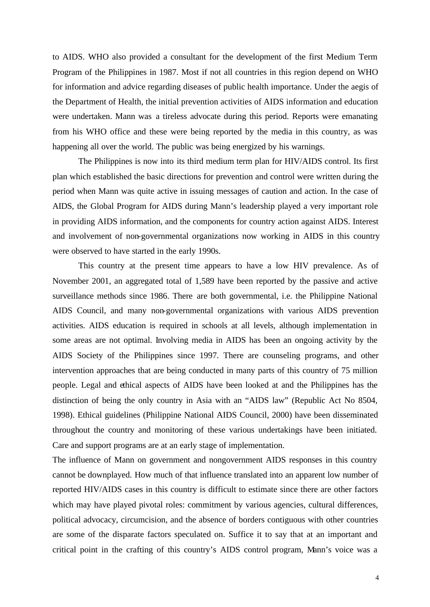to AIDS. WHO also provided a consultant for the development of the first Medium Term Program of the Philippines in 1987. Most if not all countries in this region depend on WHO for information and advice regarding diseases of public health importance. Under the aegis of the Department of Health, the initial prevention activities of AIDS information and education were undertaken. Mann was a tireless advocate during this period. Reports were emanating from his WHO office and these were being reported by the media in this country, as was happening all over the world. The public was being energized by his warnings.

The Philippines is now into its third medium term plan for HIV/AIDS control. Its first plan which established the basic directions for prevention and control were written during the period when Mann was quite active in issuing messages of caution and action. In the case of AIDS, the Global Program for AIDS during Mann's leadership played a very important role in providing AIDS information, and the components for country action against AIDS. Interest and involvement of non-governmental organizations now working in AIDS in this country were observed to have started in the early 1990s.

This country at the present time appears to have a low HIV prevalence. As of November 2001, an aggregated total of 1,589 have been reported by the passive and active surveillance methods since 1986. There are both governmental, i.e. the Philippine National AIDS Council, and many non-governmental organizations with various AIDS prevention activities. AIDS education is required in schools at all levels, although implementation in some areas are not optimal. Involving media in AIDS has been an ongoing activity by the AIDS Society of the Philippines since 1997. There are counseling programs, and other intervention approaches that are being conducted in many parts of this country of 75 million people. Legal and ethical aspects of AIDS have been looked at and the Philippines has the distinction of being the only country in Asia with an "AIDS law" (Republic Act No 8504, 1998). Ethical guidelines (Philippine National AIDS Council, 2000) have been disseminated throughout the country and monitoring of these various undertakings have been initiated. Care and support programs are at an early stage of implementation.

The influence of Mann on government and nongovernment AIDS responses in this country cannot be downplayed. How much of that influence translated into an apparent low number of reported HIV/AIDS cases in this country is difficult to estimate since there are other factors which may have played pivotal roles: commitment by various agencies, cultural differences, political advocacy, circumcision, and the absence of borders contiguous with other countries are some of the disparate factors speculated on. Suffice it to say that at an important and critical point in the crafting of this country's AIDS control program, Mann's voice was a